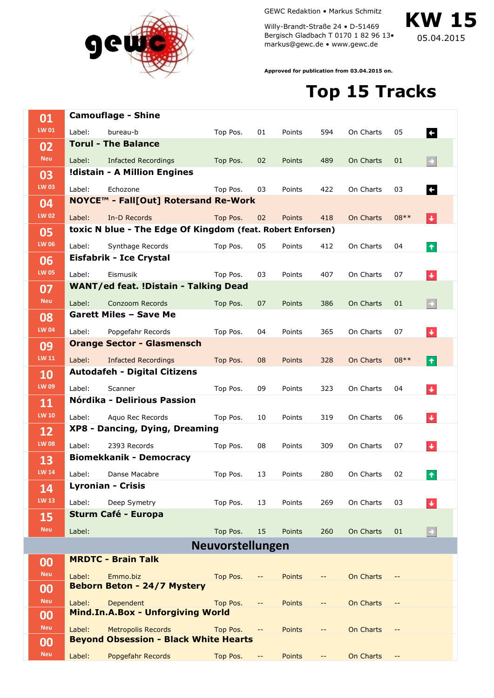

GEWC Redaktion • Markus Schmitz

Willy-Brandt-Straße 24 • D-51469 Bergisch Gladbach T 0170 1 82 96 13• markus@gewc.de • www.gewc.de

**KW 15**

05.04.2015

**Approved for publication from 03.04.2015 on.**

## **Top 15 Tracks**

| 01           |                                                            | <b>Camouflage - Shine</b>                    |                         |                                               |               |                                               |           |                                               |                        |
|--------------|------------------------------------------------------------|----------------------------------------------|-------------------------|-----------------------------------------------|---------------|-----------------------------------------------|-----------|-----------------------------------------------|------------------------|
| LW 01        | Label:                                                     | bureau-b                                     | Top Pos.                | 01                                            | Points        | 594                                           | On Charts | 05                                            | <b>F</b>               |
| 02           |                                                            | <b>Torul - The Balance</b>                   |                         |                                               |               |                                               |           |                                               |                        |
| <b>Neu</b>   | Label:                                                     | Infacted Recordings                          | Top Pos.                | 02                                            | Points        | 489                                           | On Charts | 01                                            | $\rightarrow$          |
| 03           |                                                            | !distain - A Million Engines                 |                         |                                               |               |                                               |           |                                               |                        |
| <b>LW 03</b> | Label:                                                     | Echozone                                     | Top Pos.                | 03                                            | Points        | 422                                           | On Charts | 03                                            | $\leftarrow$           |
| 04           |                                                            | NOYCE™ - Fall[Out] Rotersand Re-Work         |                         |                                               |               |                                               |           |                                               |                        |
| <b>LW 02</b> | Label:                                                     | In-D Records                                 | Top Pos.                | 02                                            | Points        | 418                                           | On Charts | $08**$                                        | l∔.                    |
| 05           | toxic N blue - The Edge Of Kingdom (feat. Robert Enforsen) |                                              |                         |                                               |               |                                               |           |                                               |                        |
| <b>LW 06</b> | Label:                                                     | Synthage Records                             | Top Pos.                | 05                                            | Points        | 412                                           | On Charts | 04                                            |                        |
|              |                                                            | <b>Eisfabrik - Ice Crystal</b>               |                         |                                               |               |                                               |           |                                               | $\pmb{\tau}$           |
| 06           |                                                            |                                              |                         |                                               |               |                                               |           |                                               |                        |
| <b>LW 05</b> | Label:                                                     | Eismusik                                     | Top Pos.                | 03                                            | Points        | 407                                           | On Charts | 07                                            | $\ddot{\phantom{1}}$   |
| 07           |                                                            | <b>WANT/ed feat. !Distain - Talking Dead</b> |                         |                                               |               |                                               |           |                                               |                        |
| <b>Neu</b>   | Label:                                                     | Conzoom Records                              | Top Pos.                | 07                                            | Points        | 386                                           | On Charts | 01                                            | ⊢                      |
| 08           |                                                            | <b>Garett Miles - Save Me</b>                |                         |                                               |               |                                               |           |                                               |                        |
| <b>LW 04</b> | Label:                                                     | Popgefahr Records                            | Top Pos.                | 04                                            | Points        | 365                                           | On Charts | 07                                            | $\ddot{\phantom{1}}$   |
| 09           |                                                            | <b>Orange Sector - Glasmensch</b>            |                         |                                               |               |                                               |           |                                               |                        |
| <b>LW 11</b> | Label:                                                     | <b>Infacted Recordings</b>                   | Top Pos.                | 08                                            | Points        | 328                                           | On Charts | $08**$                                        | I۴                     |
| 10           |                                                            | <b>Autodafeh - Digital Citizens</b>          |                         |                                               |               |                                               |           |                                               |                        |
| <b>LW 09</b> | Label:                                                     | Scanner                                      | Top Pos.                | 09                                            | Points        | 323                                           | On Charts | 04                                            | $\ddot{\phantom{1}}$   |
| 11           |                                                            | Nórdika - Delirious Passion                  |                         |                                               |               |                                               |           |                                               |                        |
| <b>LW 10</b> |                                                            |                                              |                         |                                               |               |                                               |           |                                               |                        |
|              | Label:                                                     | Aquo Rec Records                             | Top Pos.                | 10                                            | Points        | 319                                           | On Charts | 06                                            | $\color{red} \bigstar$ |
| 12           |                                                            | XP8 - Dancing, Dying, Dreaming               |                         |                                               |               |                                               |           |                                               |                        |
| <b>LW 08</b> | Label:                                                     | 2393 Records                                 | Top Pos.                | 08                                            | Points        | 309                                           | On Charts | 07                                            | $\ddot{\phantom{1}}$   |
| 13           |                                                            | <b>Biomekkanik - Democracy</b>               |                         |                                               |               |                                               |           |                                               |                        |
| <b>LW 14</b> | Label:                                                     | Danse Macabre                                | Top Pos.                | 13                                            | Points        | 280                                           | On Charts | 02                                            | ٠                      |
| 14           |                                                            | <b>Lyronian - Crisis</b>                     |                         |                                               |               |                                               |           |                                               |                        |
| <b>LW 13</b> | Label:                                                     | Deep Symetry                                 | Top Pos.                | 13                                            | Points        | 269                                           | On Charts | 03                                            | ÷                      |
| 15           |                                                            | <b>Sturm Café - Europa</b>                   |                         |                                               |               |                                               |           |                                               |                        |
| <b>Neu</b>   | Label:                                                     |                                              | Top Pos.                | 15                                            | Points        | 260                                           | On Charts | 01                                            |                        |
|              |                                                            |                                              |                         |                                               |               |                                               |           |                                               | ٠                      |
|              |                                                            |                                              | <b>Neuvorstellungen</b> |                                               |               |                                               |           |                                               |                        |
| 00           |                                                            | <b>MRDTC - Brain Talk</b>                    |                         |                                               |               |                                               |           |                                               |                        |
| <b>Neu</b>   | Label:                                                     | Emmo.biz                                     | Top Pos.                | --                                            | <b>Points</b> | --                                            | On Charts |                                               |                        |
| 00           |                                                            | <b>Beborn Beton - 24/7 Mystery</b>           |                         |                                               |               |                                               |           |                                               |                        |
| <b>Neu</b>   | Label:                                                     | Dependent                                    | Top Pos.                | $\mathord{\hspace{1pt}\text{--}\hspace{1pt}}$ | <b>Points</b> | $\mathord{\hspace{1pt}\text{--}\hspace{1pt}}$ | On Charts | $\mathord{\hspace{1pt}\text{--}\hspace{1pt}}$ |                        |
| 00           |                                                            | Mind.In.A.Box - Unforgiving World            |                         |                                               |               |                                               |           |                                               |                        |
| <b>Neu</b>   | Label:                                                     | <b>Metropolis Records</b>                    | Top Pos.                | $-\, -$                                       | <b>Points</b> | --                                            | On Charts | $\mathord{\hspace{1pt}\text{--}\hspace{1pt}}$ |                        |
| 00           |                                                            | <b>Beyond Obsession - Black White Hearts</b> |                         |                                               |               |                                               |           |                                               |                        |
| <b>Neu</b>   | Label:                                                     | Popgefahr Records                            | Top Pos.                | $\mathord{\hspace{1pt}\text{--}\hspace{1pt}}$ | Points        | --                                            | On Charts | $\mathord{\hspace{1pt}\text{--}\hspace{1pt}}$ |                        |